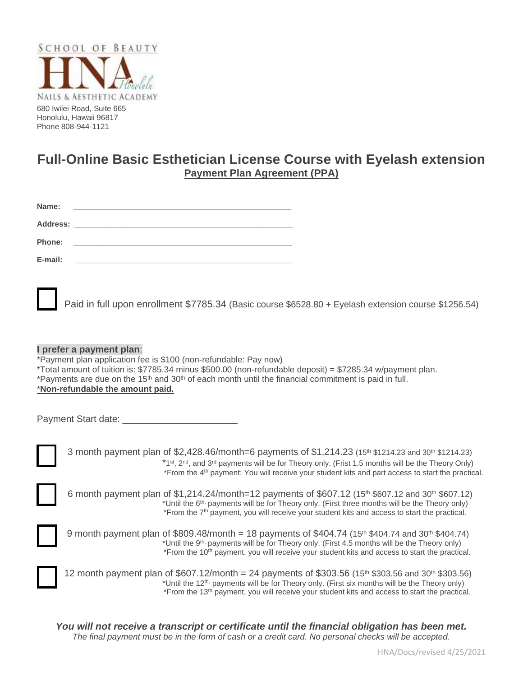

Honolulu, Hawaii 96817 Phone 808-944-1121

# **Full-Online Basic Esthetician License Course with Eyelash extension Payment Plan Agreement (PPA)**

| Name:<br><u> 1980 - John Stein, Amerikaansk kalendaris († 1980)</u>                  |  |
|--------------------------------------------------------------------------------------|--|
| Address:<br><u> 1980 - Andrea Andrewski, fransk politik (d. 1980)</u>                |  |
| Phone:<br>the control of the control of the control of the control of the control of |  |
| E-mail:                                                                              |  |

Paid in full upon enrollment \$7785.34 (Basic course \$6528.80 + Eyelash extension course \$1256.54)

#### **I prefer a payment plan**:

\*Payment plan application fee is \$100 (non-refundable: Pay now) \*Total amount of tuition is: \$7785.34 minus \$500.00 (non-refundable deposit) = \$7285.34 w/payment plan. \*Payments are due on the  $15<sup>th</sup>$  and  $30<sup>th</sup>$  of each month until the financial commitment is paid in full. \***Non-refundable the amount paid.**

| Payment Start date: |  |
|---------------------|--|
|                     |  |

| 3 month payment plan of \$2,428.46/month=6 payments of \$1,214.23 (15 <sup>th</sup> \$1214.23 and 30 <sup>th</sup> \$1214.23)<br>*1st, 2 <sup>nd</sup> , and 3 <sup>rd</sup> payments will be for Theory only. (Frist 1.5 months will be the Theory Only)                                                                                            |
|------------------------------------------------------------------------------------------------------------------------------------------------------------------------------------------------------------------------------------------------------------------------------------------------------------------------------------------------------|
| *From the 4 <sup>th</sup> payment: You will receive your student kits and part access to start the practical.                                                                                                                                                                                                                                        |
| 6 month payment plan of \$1,214.24/month=12 payments of \$607.12 (15 <sup>th</sup> \$607.12 and 30 <sup>th</sup> \$607.12)<br>*Until the 6 <sup>th,</sup> payments will be for Theory only. (First three months will be the Theory only)<br>*From the 7 <sup>th</sup> payment, you will receive your student kits and access to start the practical. |



| 9 month payment plan of \$809.48/month = 18 payments of \$404.74 (15 <sup>th</sup> \$404.74 and 30 <sup>th</sup> \$404.74) |
|----------------------------------------------------------------------------------------------------------------------------|
| *Until the 9 <sup>th,</sup> payments will be for Theory only. (First 4.5 months will be the Theory only)                   |
| *From the 10 <sup>th</sup> payment, you will receive your student kits and access to start the practical.                  |

| 12 month payment plan of \$607.12/month = 24 payments of \$303.56 (15 <sup>th</sup> \$303.56 and 30 <sup>th</sup> \$303.56) |
|-----------------------------------------------------------------------------------------------------------------------------|
| *Until the 12 <sup>th,</sup> payments will be for Theory only. (First six months will be the Theory only)                   |
| *From the 13 <sup>th</sup> payment, you will receive your student kits and access to start the practical.                   |

*You will not receive a transcript or certificate until the financial obligation has been met. The final payment must be in the form of cash or a credit card. No personal checks will be accepted.*